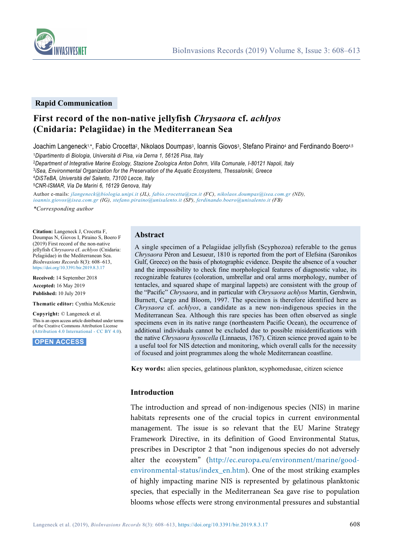



#### **Rapid Communication**

# **First record of the non-native jellyfish** *Chrysaora* **cf.** *achlyos*  **(Cnidaria: Pelagiidae) in the Mediterranean Sea**

Joachim Langeneck1\*, Fabio Crocetta<sup>2</sup>, Nikolaos Doumpas<sup>3</sup>, Ioannis Giovos<sup>3</sup>, Stefano Piraino<sup>4</sup> and Ferdinando Boero<sup>4,5</sup>

<sup>1</sup>*Dipartimento di Biologia, Università di Pisa, via Derna 1, 56126 Pisa, Italy* 

<sup>2</sup>*Department of Integrative Marine Ecology, Stazione Zoologica Anton Dohrn, Villa Comunale, I-80121 Napoli, Italy* 

<sup>3</sup>*iSea, Environmental Organization for the Preservation of the Aquatic Ecosystems, Thessaloniki, Greece* 

<sup>4</sup>*DiSTeBA, Università del Salento, 73100 Lecce, Italy* 

<sup>5</sup>*CNR-ISMAR, Via De Marini 6, 16129 Genova, Italy* 

Author e-mails: *jlangeneck@biologia.unipi.it (JL), fabio.crocetta@szn.it (FC), nikolaos.doumpas@isea.com.gr (ND), ioannis.giovos@isea.com.gr (IG), stefano.piraino@unisalento.it (SP), ferdinando.boero@unisalento.it (FB)* 

*\*Corresponding author* 

**Citation:** Langeneck J, Crocetta F, Doumpas N, Giovos I, Piraino S, Boero F (2019) First record of the non-native jellyfish *Chrysaora* cf. *achlyos* (Cnidaria: Pelagiidae) in the Mediterranean Sea. *BioInvasions Records* 8(3): 608–613, https://doi.org/10.3391/bir.2019.8.3.17

**Received:** 14 September 2018 **Accepted:** 16 May 2019 **Published:** 10 July 2019

**Thematic editor:** Cynthia McKenzie

**Copyright:** © Langeneck et al. This is an open access article distributed under terms of the Creative Commons Attribution License ([Attribution 4.0 International - CC BY 4.0](https://creativecommons.org/licenses/by/4.0/)).

 **OPEN ACCESS.**

## **Abstract**

A single specimen of a Pelagiidae jellyfish (Scyphozoa) referable to the genus *Chrysaora* Péron and Lesueur, 1810 is reported from the port of Elefsina (Saronikos Gulf, Greece) on the basis of photographic evidence. Despite the absence of a voucher and the impossibility to check fine morphological features of diagnostic value, its recognizable features (coloration, umbrellar and oral arms morphology, number of tentacles, and squared shape of marginal lappets) are consistent with the group of the "Pacific" *Chrysaora*, and in particular with *Chrysaora achlyos* Martin, Gershwin, Burnett, Cargo and Bloom, 1997. The specimen is therefore identified here as *Chrysaora* cf. *achlyos*, a candidate as a new non-indigenous species in the Mediterranean Sea. Although this rare species has been often observed as single specimens even in its native range (northeastern Pacific Ocean), the occurrence of additional individuals cannot be excluded due to possible misidentifications with the native *Chrysaora hysoscella* (Linnaeus, 1767). Citizen science proved again to be a useful tool for NIS detection and monitoring, which overall calls for the necessity of focused and joint programmes along the whole Mediterranean coastline.

**Key words:** alien species, gelatinous plankton, scyphomedusae, citizen science

### **Introduction**

The introduction and spread of non-indigenous species (NIS) in marine habitats represents one of the crucial topics in current environmental management. The issue is so relevant that the EU Marine Strategy Framework Directive, in its definition of Good Environmental Status, prescribes in Descriptor 2 that "non indigenous species do not adversely alter the ecosystem" (http://ec.europa.eu/environment/marine/goodenvironmental-status/index\_en.htm). One of the most striking examples of highly impacting marine NIS is represented by gelatinous planktonic species, that especially in the Mediterranean Sea gave rise to population blooms whose effects were strong environmental pressures and substantial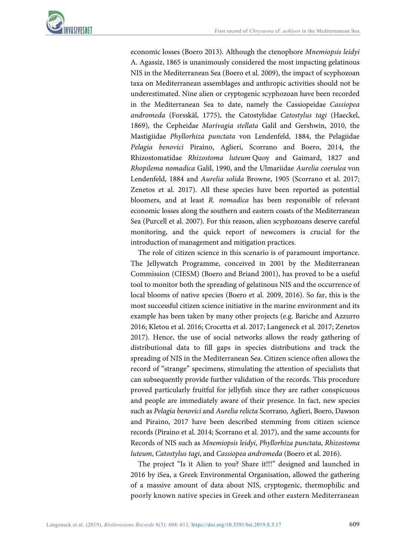economic losses (Boero 2013). Although the ctenophore *Mnemiopsis leidyi*  A. Agassiz, 1865 is unanimously considered the most impacting gelatinous NIS in the Mediterranean Sea (Boero et al. 2009), the impact of scyphozoan taxa on Mediterranean assemblages and anthropic activities should not be underestimated. Nine alien or cryptogenic scyphozoan have been recorded in the Mediterranean Sea to date, namely the Cassiopeidae *Cassiopea andromeda* (Forsskål, 1775), the Catostylidae *Catostylus tagi* (Haeckel, 1869), the Cepheidae *Marivagia stellata* Galil and Gershwin, 2010, the Mastigiidae *Phyllorhiza punctata* von Lendenfeld, 1884, the Pelagiidae *Pelagia benovici* Piraino, Aglieri, Scorrano and Boero, 2014, the Rhizostomatidae *Rhizostoma luteum* Quoy and Gaimard, 1827 and *Rhopilema nomadica* Galil, 1990, and the Ulmariidae *Aurelia coerulea* von Lendenfeld, 1884 and *Aurelia solida* Browne, 1905 (Scorrano et al. 2017; Zenetos et al. 2017). All these species have been reported as potential bloomers, and at least *R. nomadica* has been responsible of relevant economic losses along the southern and eastern coasts of the Mediterranean Sea (Purcell et al. 2007). For this reason, alien scyphozoans deserve careful monitoring, and the quick report of newcomers is crucial for the introduction of management and mitigation practices.

The role of citizen science in this scenario is of paramount importance. The Jellywatch Programme, conceived in 2001 by the Mediterranean Commission (CIESM) (Boero and Briand 2001), has proved to be a useful tool to monitor both the spreading of gelatinous NIS and the occurrence of local blooms of native species (Boero et al. 2009, 2016). So far, this is the most successful citizen science initiative in the marine environment and its example has been taken by many other projects (e.g. Bariche and Azzurro 2016; Kletou et al. 2016; Crocetta et al. 2017; Langeneck et al. 2017; Zenetos 2017). Hence, the use of social networks allows the ready gathering of distributional data to fill gaps in species distributions and track the spreading of NIS in the Mediterranean Sea. Citizen science often allows the record of "strange" specimens, stimulating the attention of specialists that can subsequently provide further validation of the records. This procedure proved particularly fruitful for jellyfish since they are rather conspicuous and people are immediately aware of their presence. In fact, new species such as *Pelagia benovici* and *Aurelia relicta* Scorrano, Aglieri, Boero, Dawson and Piraino, 2017 have been described stemming from citizen science records (Piraino et al. 2014; Scorrano et al. 2017), and the same accounts for Records of NIS such as *Mnemiopsis leidyi*, *Phyllorhiza punctata*, *Rhizostoma luteum*, *Catostylus tagi*, and *Cassiopea andromeda* (Boero et al. 2016).

The project "Is it Alien to you? Share it!!!" designed and launched in 2016 by iSea, a Greek Environmental Organisation, allowed the gathering of a massive amount of data about NIS, cryptogenic, thermophilic and poorly known native species in Greek and other eastern Mediterranean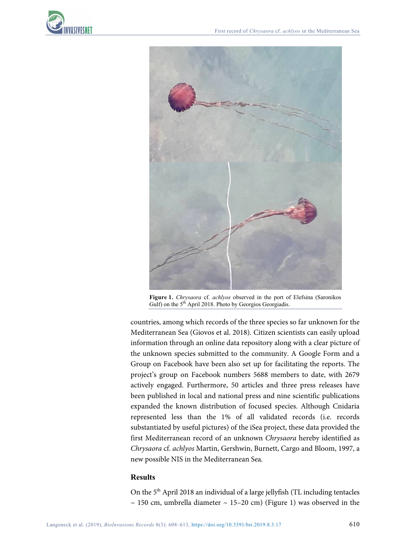



**Figure 1.** *Chrysaora* cf. *achlyos* observed in the port of Elefsina (Saronikos Gulf) on the 5<sup>th</sup> April 2018. Photo by Georgios Georgiadis.

countries, among which records of the three species so far unknown for the Mediterranean Sea (Giovos et al. 2018). Citizen scientists can easily upload information through an online data repository along with a clear picture of the unknown species submitted to the community. A Google Form and a Group on Facebook have been also set up for facilitating the reports. The project's group on Facebook numbers 5688 members to date, with 2679 actively engaged. Furthermore, 50 articles and three press releases have been published in local and national press and nine scientific publications expanded the known distribution of focused species. Although Cnidaria represented less than the 1% of all validated records (i.e. records substantiated by useful pictures) of the iSea project, these data provided the first Mediterranean record of an unknown *Chrysaora* hereby identified as *Chrysaora* cf. *achlyos* Martin, Gershwin, Burnett, Cargo and Bloom, 1997, a new possible NIS in the Mediterranean Sea.

## **Results**

On the 5th April 2018 an individual of a large jellyfish (TL including tentacles  $\sim$  150 cm, umbrella diameter  $\sim$  15–20 cm) (Figure 1) was observed in the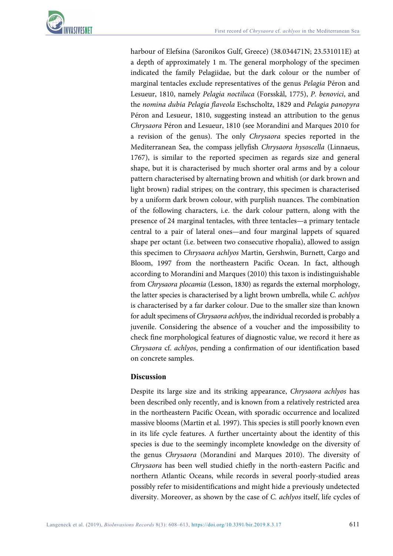

harbour of Elefsina (Saronikos Gulf, Greece) (38.034471N; 23.531011E) at a depth of approximately 1 m. The general morphology of the specimen indicated the family Pelagiidae, but the dark colour or the number of marginal tentacles exclude representatives of the genus *Pelagia* Péron and Lesueur, 1810, namely *Pelagia noctiluca* (Forsskål, 1775), *P. benovici*, and the *nomina dubia Pelagia flaveola* Eschscholtz, 1829 and *Pelagia panopyra* Péron and Lesueur, 1810, suggesting instead an attribution to the genus *Chrysaora* Péron and Lesueur, 1810 (see Morandini and Marques 2010 for a revision of the genus). The only *Chrysaora* species reported in the Mediterranean Sea, the compass jellyfish *Chrysaora hysoscella* (Linnaeus, 1767), is similar to the reported specimen as regards size and general shape, but it is characterised by much shorter oral arms and by a colour pattern characterised by alternating brown and whitish (or dark brown and light brown) radial stripes; on the contrary, this specimen is characterised by a uniform dark brown colour, with purplish nuances. The combination of the following characters, i.e. the dark colour pattern, along with the presence of 24 marginal tentacles, with three tentacles—a primary tentacle central to a pair of lateral ones—and four marginal lappets of squared shape per octant (i.e. between two consecutive rhopalia), allowed to assign this specimen to *Chrysaora achlyos* Martin, Gershwin, Burnett, Cargo and Bloom, 1997 from the northeastern Pacific Ocean. In fact, although according to Morandini and Marques (2010) this taxon is indistinguishable from *Chrysaora plocamia* (Lesson, 1830) as regards the external morphology, the latter species is characterised by a light brown umbrella, while *C. achlyos*  is characterised by a far darker colour. Due to the smaller size than known for adult specimens of *Chrysaora achlyos*, the individual recorded is probably a juvenile. Considering the absence of a voucher and the impossibility to check fine morphological features of diagnostic value, we record it here as *Chrysaora* cf. *achlyos*, pending a confirmation of our identification based on concrete samples.

### **Discussion**

Despite its large size and its striking appearance, *Chrysaora achlyos* has been described only recently, and is known from a relatively restricted area in the northeastern Pacific Ocean, with sporadic occurrence and localized massive blooms (Martin et al. 1997). This species is still poorly known even in its life cycle features. A further uncertainty about the identity of this species is due to the seemingly incomplete knowledge on the diversity of the genus *Chrysaora* (Morandini and Marques 2010). The diversity of *Chrysaora* has been well studied chiefly in the north-eastern Pacific and northern Atlantic Oceans, while records in several poorly-studied areas possibly refer to misidentifications and might hide a previously undetected diversity. Moreover, as shown by the case of *C. achlyos* itself, life cycles of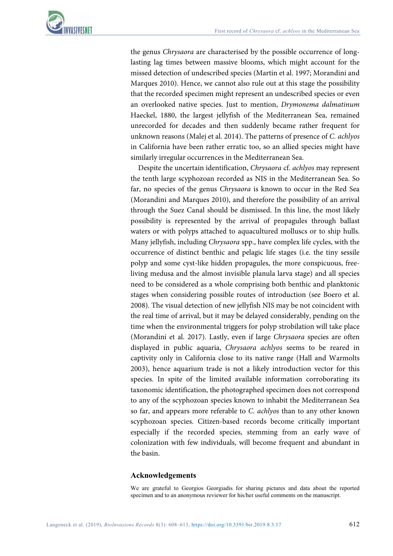

the genus *Chrysaora* are characterised by the possible occurrence of longlasting lag times between massive blooms, which might account for the missed detection of undescribed species (Martin et al. 1997; Morandini and Marques 2010). Hence, we cannot also rule out at this stage the possibility that the recorded specimen might represent an undescribed species or even an overlooked native species. Just to mention, *Drymonema dalmatinum* Haeckel, 1880, the largest jellyfish of the Mediterranean Sea, remained unrecorded for decades and then suddenly became rather frequent for unknown reasons (Malej et al. 2014). The patterns of presence of *C. achlyos* in California have been rather erratic too, so an allied species might have similarly irregular occurrences in the Mediterranean Sea.

Despite the uncertain identification, *Chrysaora* cf. *achlyos* may represent the tenth large scyphozoan recorded as NIS in the Mediterranean Sea. So far, no species of the genus *Chrysaora* is known to occur in the Red Sea (Morandini and Marques 2010), and therefore the possibility of an arrival through the Suez Canal should be dismissed. In this line, the most likely possibility is represented by the arrival of propagules through ballast waters or with polyps attached to aquacultured molluscs or to ship hulls. Many jellyfish, including *Chrysaora* spp., have complex life cycles, with the occurrence of distinct benthic and pelagic life stages (i.e. the tiny sessile polyp and some cyst-like hidden propagules, the more conspicuous, freeliving medusa and the almost invisible planula larva stage) and all species need to be considered as a whole comprising both benthic and planktonic stages when considering possible routes of introduction (see Boero et al. 2008). The visual detection of new jellyfish NIS may be not coincident with the real time of arrival, but it may be delayed considerably, pending on the time when the environmental triggers for polyp strobilation will take place (Morandini et al. 2017). Lastly, even if large *Chrysaora* species are often displayed in public aquaria, *Chrysaora achlyos* seems to be reared in captivity only in California close to its native range (Hall and Warmolts 2003), hence aquarium trade is not a likely introduction vector for this species. In spite of the limited available information corroborating its taxonomic identification, the photographed specimen does not correspond to any of the scyphozoan species known to inhabit the Mediterranean Sea so far, and appears more referable to *C. achlyos* than to any other known scyphozoan species. Citizen-based records become critically important especially if the recorded species, stemming from an early wave of colonization with few individuals, will become frequent and abundant in the basin.

### **Acknowledgements**

We are grateful to Georgios Georgiadis for sharing pictures and data about the reported specimen and to an anonymous reviewer for his/her useful comments on the manuscript.